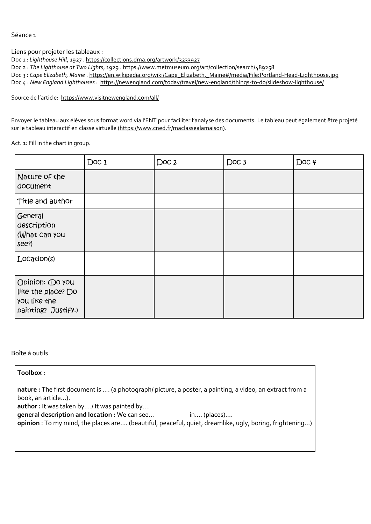Séance 1

Liens pour projeter les tableaux :

Doc 1 : *Lighthouse Hill*, 1927 . <https://collections.dma.org/artwork/3233927>

Doc 2 : *The Lighthouse at Two Lights*, 1929 . <https://www.metmuseum.org/art/collection/search/489258>

Doc 3 : *Cape Elizabeth, Maine* . [https://en.wikipedia.org/wiki/Cape\\_Elizabeth,\\_Maine#/media/File:Portland-Head-Lighthouse.jpg](https://en.wikipedia.org/wiki/Cape_Elizabeth,_Maine#/media/File:Portland-Head-Lighthouse.jpg)

Doc 4 : *New England Lighthouses* : <https://newengland.com/today/travel/new-england/things-to-do/slideshow-lighthouse/>

Source de l'article: <https://www.visitnewengland.com/all/>

Envoyer le tableau aux élèves sous format word via l'ENT pour faciliter l'analyse des documents. Le tableau peut également être projeté sur le tableau interactif en classe virtuelle [\(https://www.cned.fr/maclassealamaison\)](https://www.cned.fr/maclassealamaison).

Act. 1: Fill in the chart in group.

|                                                                               | Doc 1 | Doc <sub>2</sub> | Doc <sub>3</sub> | Doc 4 |
|-------------------------------------------------------------------------------|-------|------------------|------------------|-------|
| Nature of the<br>document                                                     |       |                  |                  |       |
| Title and author                                                              |       |                  |                  |       |
| General<br>description<br>What Can you<br>see?)                               |       |                  |                  |       |
| Location(s)                                                                   |       |                  |                  |       |
| Opinion: (Do you<br>like the place? Do<br>you like the<br>painting? Justify.) |       |                  |                  |       |

Boîte à outils

**Toolbox :**

**nature :** The first document is …. (a photograph/ picture, a poster, a painting, a video, an extract from a book, an article…).

**author :** It was taken by…./ It was painted by….

**general description and location :** We can see… in…. (places)….

**opinion** : To my mind, the places are…. (beautiful, peaceful, quiet, dreamlike, ugly, boring, frightening…)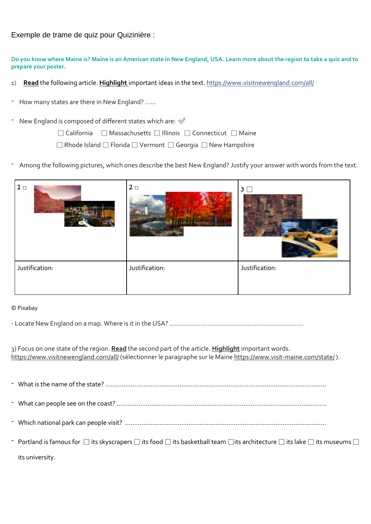Exemple de trame de quiz pour Quizinière :

Do you know where Maine is? Maine is an American state in New England, USA. Learn more about the region to take a guiz and to **prepare your poster.**

- 1) **Read** the following article. **Highlight** important ideas in the text. <https://www.visitnewengland.com/all/>
- How many states are there in New England? ......
- New England is composed of different states which are:  $\mathcal O$

□ California □ Massachusetts □ Illinois □ Connecticut □ Maine

□ Rhode Island □ Florida □ Vermont □ Georgia □ New Hampshire

- Among the following pictures, which ones describe the best New England? Justify your answer with words from the text.

| 2 <sub>0</sub> | 3 <sup>1</sup> |
|----------------|----------------|
| Justification: | Justification: |
|                |                |

## © Pixabay

- Locate New England on a map. Where is it in the USA? ………………………………………………………………..

3) Focus on one state of the region. **Read** the second part of the article. **Highlight** important words. <https://www.visitnewengland.com/all/> (sélectionner le paragraphe sur le Maine <https://www.visit-maine.com/state/>).

- What is the name of the state? ………………………………………………………………………………………………………….. - What can people see on the coast? …………………………………………………………………………………………………….. - Which national park can people visit? ………………………………………………………………………………………………… - Portland is famous for  $\Box$  its skyscrapers  $\Box$  its food  $\Box$  its basketball team  $\Box$ its architecture  $\Box$  its lake  $\Box$  its museums  $\Box$ its university.